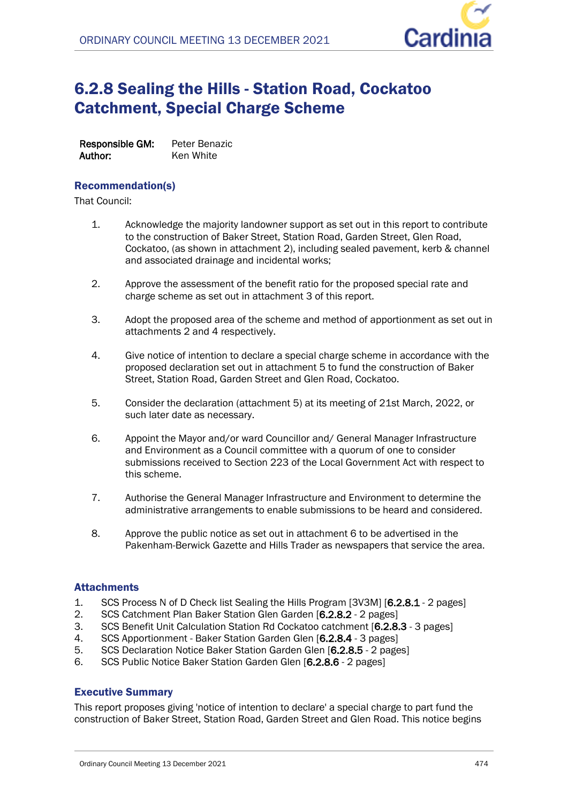

# 6.2.8 Sealing the Hills - Station Road, Cockatoo Catchment, Special Charge Scheme

| Responsible GM: | Peter Benazic |
|-----------------|---------------|
| Author:         | Ken White     |

### Recommendation(s)

That Council:

- 1. Acknowledge the majority landowner support as set out in this report to contribute to the construction of Baker Street, Station Road, Garden Street, Glen Road, Cockatoo, (as shown in attachment 2), including sealed pavement, kerb & channel and associated drainage and incidental works;
- 2. Approve the assessment of the benefit ratio for the proposed special rate and charge scheme as set out in attachment 3 of this report.
- 3. Adopt the proposed area of the scheme and method of apportionment as set out in attachments 2 and 4 respectively.
- 4. Give notice of intention to declare a special charge scheme in accordance with the proposed declaration set out in attachment 5 to fund the construction of Baker Street, Station Road, Garden Street and Glen Road, Cockatoo.
- 5. Consider the declaration (attachment 5) at its meeting of 21st March, 2022, or such later date as necessary.
- 6. Appoint the Mayor and/or ward Councillor and/ General Manager Infrastructure and Environment as a Council committee with a quorum of one to consider submissions received to Section 223 of the Local Government Act with respect to this scheme.
- 7. Authorise the General Manager Infrastructure and Environment to determine the administrative arrangements to enable submissions to be heard and considered.
- 8. Approve the public notice as set out in attachment 6 to be advertised in the Pakenham-Berwick Gazette and Hills Trader as newspapers that service the area.

### **Attachments**

- 1. SCS Process N of D Check list Sealing the Hills Program [3V3M] [**6.2.8.1** 2 pages]
- 2. SCS Catchment Plan Baker Station Glen Garden [**6.2.8.2** 2 pages]
- 3. SCS Benefit Unit Calculation Station Rd Cockatoo catchment [**6.2.8.3** 3 pages]
- 4. SCS Apportionment Baker Station Garden Glen [**6.2.8.4** 3 pages]
- 5. SCS Declaration Notice Baker Station Garden Glen [**6.2.8.5** 2 pages]
- 6. SCS Public Notice Baker Station Garden Glen [**6.2.8.6** 2 pages]

### Executive Summary

This report proposes giving 'notice of intention to declare' a special charge to part fund the construction of Baker Street, Station Road, Garden Street and Glen Road. This notice begins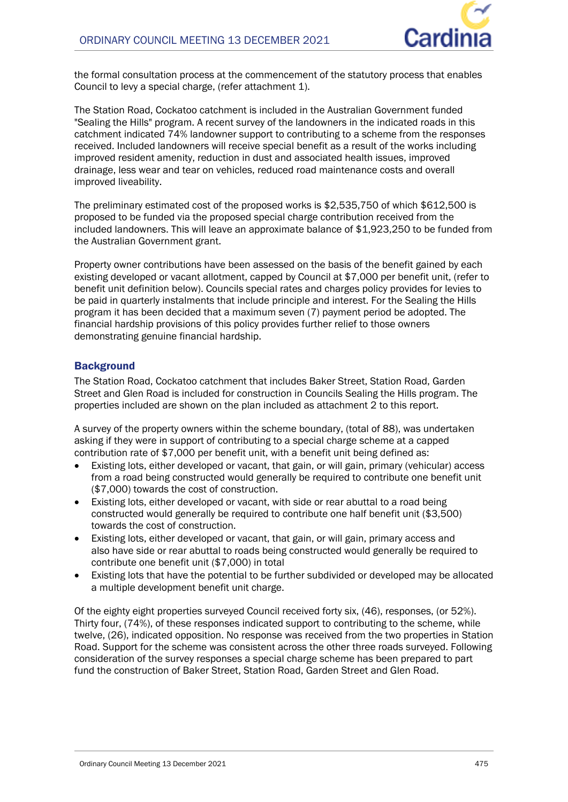

the formal consultation process at the commencement of the statutory process that enables Council to levy a special charge, (refer attachment 1).

The Station Road, Cockatoo catchment is included in the Australian Government funded "Sealing the Hills" program. A recent survey of the landowners in the indicated roads in this catchment indicated 74% landowner support to contributing to a scheme from the responses received. Included landowners will receive special benefit as a result of the works including improved resident amenity, reduction in dust and associated health issues, improved drainage, less wear and tear on vehicles, reduced road maintenance costs and overall improved liveability.

The preliminary estimated cost of the proposed works is \$2,535,750 of which \$612,500 is proposed to be funded via the proposed special charge contribution received from the included landowners. This will leave an approximate balance of \$1,923,250 to be funded from the Australian Government grant.

Property owner contributions have been assessed on the basis of the benefit gained by each existing developed or vacant allotment, capped by Council at \$7,000 per benefit unit, (refer to benefit unit definition below). Councils special rates and charges policy provides for levies to be paid in quarterly instalments that include principle and interest. For the Sealing the Hills program it has been decided that a maximum seven (7) payment period be adopted. The financial hardship provisions of this policy provides further relief to those owners demonstrating genuine financial hardship.

### **Background**

The Station Road, Cockatoo catchment that includes Baker Street, Station Road, Garden Street and Glen Road is included for construction in Councils Sealing the Hills program. The properties included are shown on the plan included as attachment 2 to this report.

A survey of the property owners within the scheme boundary, (total of 88), was undertaken asking if they were in support of contributing to a special charge scheme at a capped contribution rate of \$7,000 per benefit unit, with a benefit unit being defined as:

- Existing lots, either developed or vacant, that gain, or will gain, primary (vehicular) access from a road being constructed would generally be required to contribute one benefit unit (\$7,000) towards the cost of construction.
- Existing lots, either developed or vacant, with side or rear abuttal to a road being constructed would generally be required to contribute one half benefit unit (\$3,500) towards the cost of construction.
- Existing lots, either developed or vacant, that gain, or will gain, primary access and also have side or rear abuttal to roads being constructed would generally be required to contribute one benefit unit (\$7,000) in total
- Existing lots that have the potential to be further subdivided or developed may be allocated a multiple development benefit unit charge.

Of the eighty eight properties surveyed Council received forty six, (46), responses, (or 52%). Thirty four, (74%), of these responses indicated support to contributing to the scheme, while twelve, (26), indicated opposition. No response was received from the two properties in Station Road. Support for the scheme was consistent across the other three roads surveyed. Following consideration of the survey responses a special charge scheme has been prepared to part fund the construction of Baker Street, Station Road, Garden Street and Glen Road.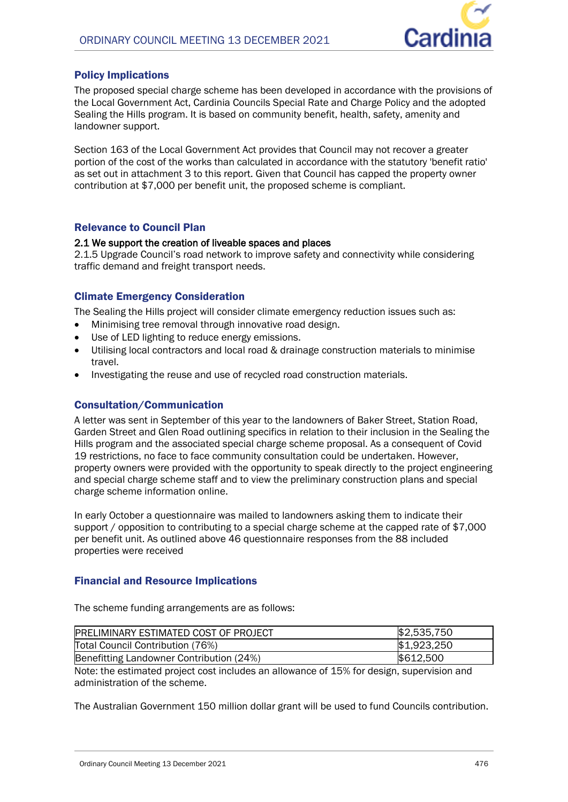

### Policy Implications

The proposed special charge scheme has been developed in accordance with the provisions of the Local Government Act, Cardinia Councils Special Rate and Charge Policy and the adopted Sealing the Hills program. It is based on community benefit, health, safety, amenity and landowner support.

Section 163 of the Local Government Act provides that Council may not recover a greater portion of the cost of the works than calculated in accordance with the statutory 'benefit ratio' as set out in attachment 3 to this report. Given that Council has capped the property owner contribution at \$7,000 per benefit unit, the proposed scheme is compliant.

### Relevance to Council Plan

### **2.1 We support the creation of liveable spaces and places**

2.1.5 Upgrade Council's road network to improve safety and connectivity while considering traffic demand and freight transport needs.

### Climate Emergency Consideration

The Sealing the Hills project will consider climate emergency reduction issues such as:

- Minimising tree removal through innovative road design.
- Use of LED lighting to reduce energy emissions.
- Utilising local contractors and local road & drainage construction materials to minimise travel.
- Investigating the reuse and use of recycled road construction materials.

### Consultation/Communication

A letter was sent in September of this year to the landowners of Baker Street, Station Road, Garden Street and Glen Road outlining specifics in relation to their inclusion in the Sealing the Hills program and the associated special charge scheme proposal. As a consequent of Covid 19 restrictions, no face to face community consultation could be undertaken. However, property owners were provided with the opportunity to speak directly to the project engineering and special charge scheme staff and to view the preliminary construction plans and special charge scheme information online.

In early October a questionnaire was mailed to landowners asking them to indicate their support / opposition to contributing to a special charge scheme at the capped rate of \$7,000 per benefit unit. As outlined above 46 questionnaire responses from the 88 included properties were received

### Financial and Resource Implications

The scheme funding arrangements are as follows:

| <b>PRELIMINARY ESTIMATED COST OF PROJECT</b> | \$2,535,750 |
|----------------------------------------------|-------------|
| Total Council Contribution (76%)             | \$1,923,250 |
| Benefitting Landowner Contribution (24%)     | \$612,500   |

Note: the estimated project cost includes an allowance of 15% for design, supervision and administration of the scheme.

The Australian Government 150 million dollar grant will be used to fund Councils contribution.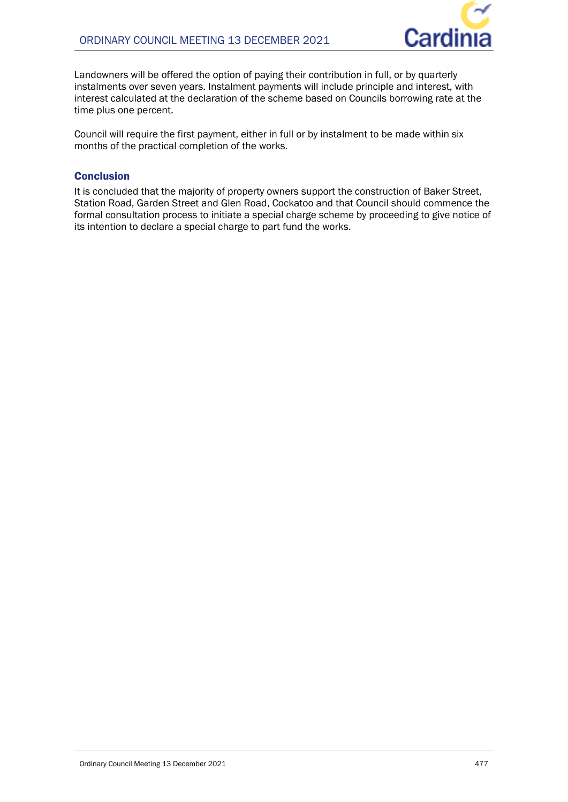

Landowners will be offered the option of paying their contribution in full, or by quarterly instalments over seven years. Instalment payments will include principle and interest, with interest calculated at the declaration of the scheme based on Councils borrowing rate at the time plus one percent.

Council will require the first payment, either in full or by instalment to be made within six months of the practical completion of the works.

### **Conclusion**

It is concluded that the majority of property owners support the construction of Baker Street, Station Road, Garden Street and Glen Road, Cockatoo and that Council should commence the formal consultation process to initiate a special charge scheme by proceeding to give notice of its intention to declare a special charge to part fund the works.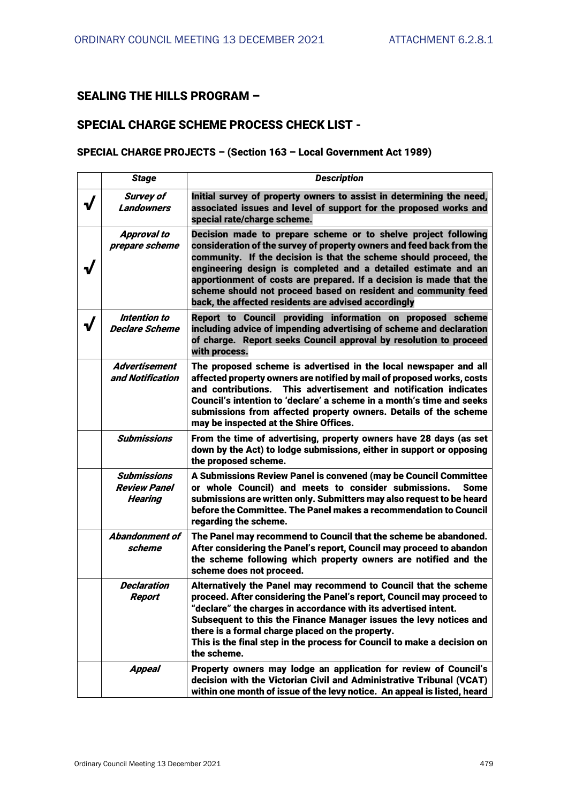# **SEALING THE HILLS PROGRAM –**

# **SPECIAL CHARGE SCHEME PROCESS CHECK LIST -**

# **SPECIAL CHARGE PROJECTS – (Section 163 – Local Government Act 1989)**

| <b>Stage</b>                                                | <b>Description</b>                                                                                                                                                                                                                                                                                                                                                                                                                                                              |
|-------------------------------------------------------------|---------------------------------------------------------------------------------------------------------------------------------------------------------------------------------------------------------------------------------------------------------------------------------------------------------------------------------------------------------------------------------------------------------------------------------------------------------------------------------|
| <b>Survey of</b><br><b>Landowners</b>                       | Initial survey of property owners to assist in determining the need,<br>associated issues and level of support for the proposed works and<br>special rate/charge scheme.                                                                                                                                                                                                                                                                                                        |
| <b>Approval to</b><br>prepare scheme                        | Decision made to prepare scheme or to shelve project following<br>consideration of the survey of property owners and feed back from the<br>community. If the decision is that the scheme should proceed, the<br>engineering design is completed and a detailed estimate and an<br>apportionment of costs are prepared. If a decision is made that the<br>scheme should not proceed based on resident and community feed<br>back, the affected residents are advised accordingly |
| Intention to<br><b>Declare Scheme</b>                       | Report to Council providing information on proposed scheme<br>including advice of impending advertising of scheme and declaration<br>of charge. Report seeks Council approval by resolution to proceed<br>with process.                                                                                                                                                                                                                                                         |
| <b>Advertisement</b><br>and Notification                    | The proposed scheme is advertised in the local newspaper and all<br>affected property owners are notified by mail of proposed works, costs<br>This advertisement and notification indicates<br>and contributions.<br>Council's intention to 'declare' a scheme in a month's time and seeks<br>submissions from affected property owners. Details of the scheme<br>may be inspected at the Shire Offices.                                                                        |
| <b>Submissions</b>                                          | From the time of advertising, property owners have 28 days (as set<br>down by the Act) to lodge submissions, either in support or opposing<br>the proposed scheme.                                                                                                                                                                                                                                                                                                              |
| <b>Submissions</b><br><b>Review Panel</b><br><b>Hearing</b> | A Submissions Review Panel is convened (may be Council Committee<br>or whole Council) and meets to consider submissions.<br><b>Some</b><br>submissions are written only. Submitters may also request to be heard<br>before the Committee. The Panel makes a recommendation to Council<br>regarding the scheme.                                                                                                                                                                  |
| <b>Abandonment of</b><br>scheme                             | The Panel may recommend to Council that the scheme be abandoned.<br>After considering the Panel's report, Council may proceed to abandon<br>the scheme following which property owners are notified and the<br>scheme does not proceed.                                                                                                                                                                                                                                         |
| <b>Declaration</b><br>Report                                | Alternatively the Panel may recommend to Council that the scheme<br>proceed. After considering the Panel's report, Council may proceed to<br>"declare" the charges in accordance with its advertised intent.<br>Subsequent to this the Finance Manager issues the levy notices and<br>there is a formal charge placed on the property.<br>This is the final step in the process for Council to make a decision on<br>the scheme.                                                |
| <b>Appeal</b>                                               | Property owners may lodge an application for review of Council's<br>decision with the Victorian Civil and Administrative Tribunal (VCAT)<br>within one month of issue of the levy notice. An appeal is listed, heard                                                                                                                                                                                                                                                            |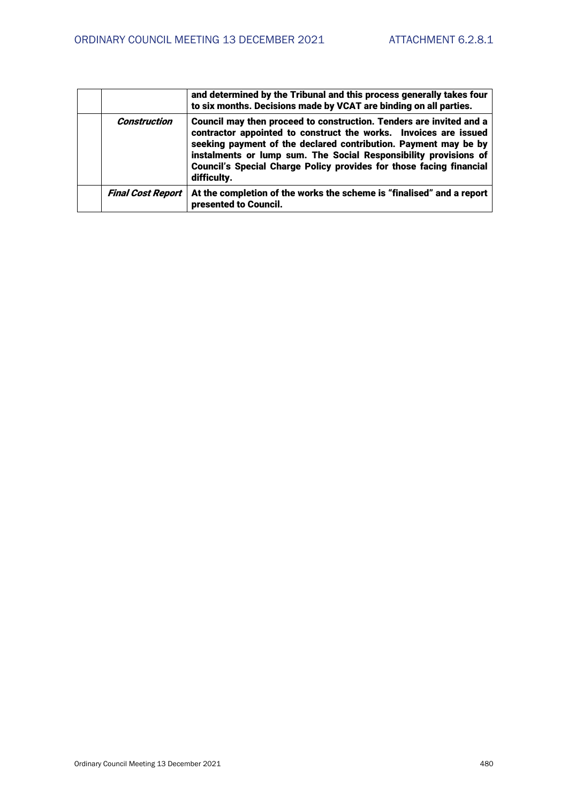|                          | and determined by the Tribunal and this process generally takes four<br>to six months. Decisions made by VCAT are binding on all parties.                                                                                                                                                                                                                            |
|--------------------------|----------------------------------------------------------------------------------------------------------------------------------------------------------------------------------------------------------------------------------------------------------------------------------------------------------------------------------------------------------------------|
| <b>Construction</b>      | Council may then proceed to construction. Tenders are invited and a<br>contractor appointed to construct the works. Invoices are issued<br>seeking payment of the declared contribution. Payment may be by<br>instalments or lump sum. The Social Responsibility provisions of<br>Council's Special Charge Policy provides for those facing financial<br>difficulty. |
| <b>Final Cost Report</b> | At the completion of the works the scheme is "finalised" and a report<br>presented to Council.                                                                                                                                                                                                                                                                       |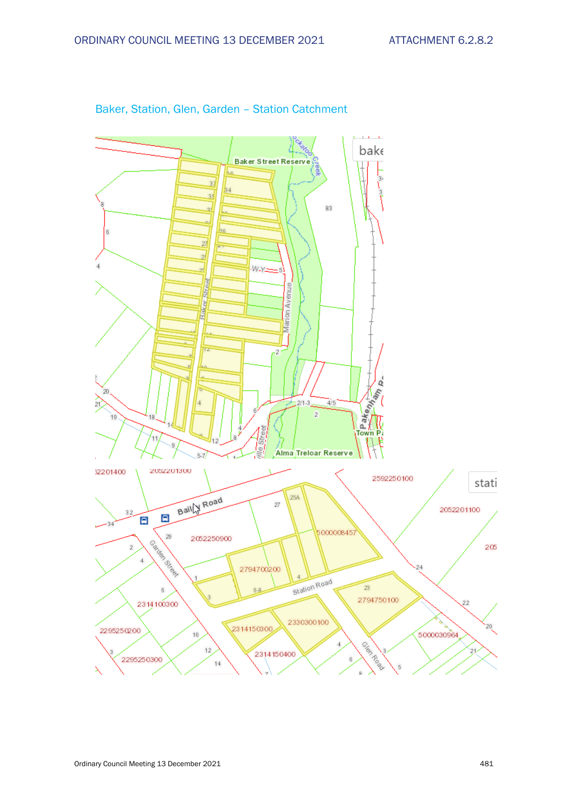

Baker, Station, Glen, Garden – Station Catchment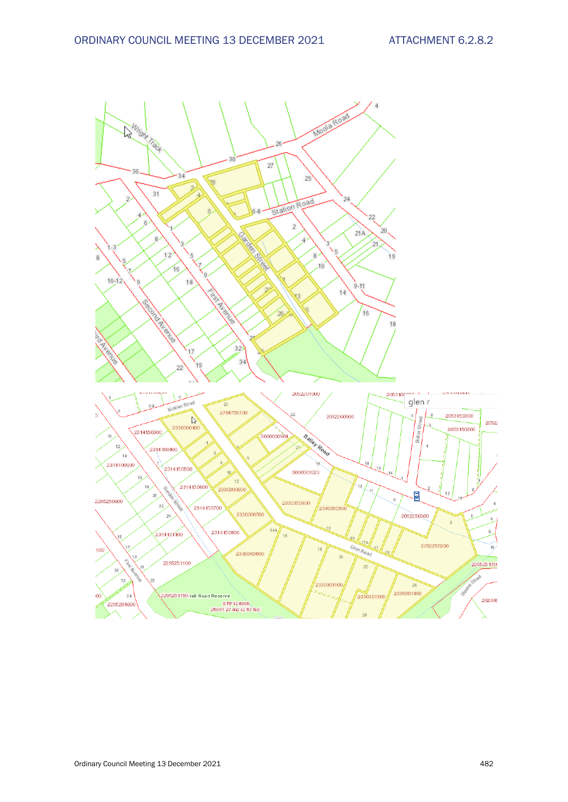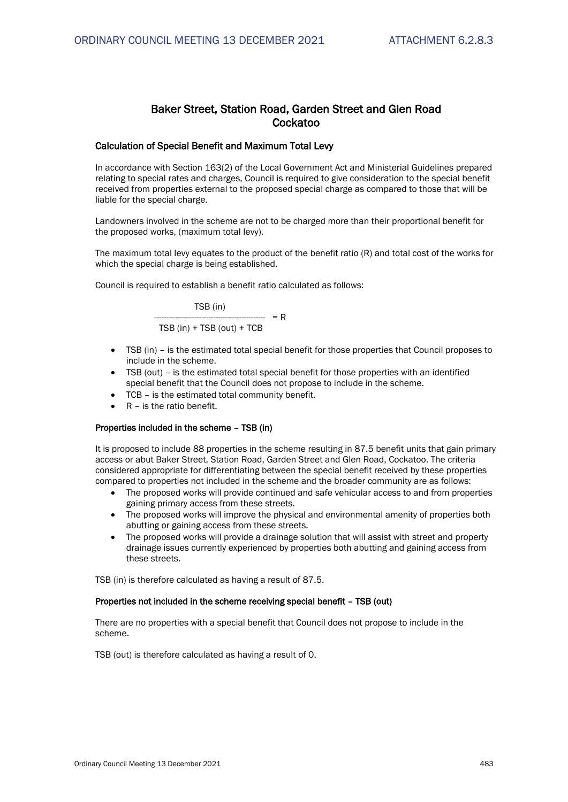### **Baker Street, Station Road, Garden Street and Glen Road Cockatoo**

#### **Calculation of Special Benefit and Maximum Total Levy**

In accordance with Section 163(2) of the Local Government Act and Ministerial Guidelines prepared relating to special rates and charges, Council is required to give consideration to the special benefit received from properties external to the proposed special charge as compared to those that will be liable for the special charge.

Landowners involved in the scheme are not to be charged more than their proportional benefit for the proposed works, (maximum total levy).

The maximum total levy equates to the product of the benefit ratio (R) and total cost of the works for which the special charge is being established.

Council is required to establish a benefit ratio calculated as follows:

$$
TSB (in)
$$
\n
$$
TSB (in)
$$
\n
$$
= R
$$
\n
$$
TSB (in) + TSB (out) + TCB
$$

- TSB (in) is the estimated total special benefit for those properties that Council proposes to include in the scheme.
- TSB (out) is the estimated total special benefit for those properties with an identified special benefit that the Council does not propose to include in the scheme.
- TCB is the estimated total community benefit.
- R is the ratio benefit.

#### **Properties included in the scheme – TSB (in)**

It is proposed to include 88 properties in the scheme resulting in 87.5 benefit units that gain primary access or abut Baker Street, Station Road, Garden Street and Glen Road, Cockatoo. The criteria considered appropriate for differentiating between the special benefit received by these properties compared to properties not included in the scheme and the broader community are as follows:

- The proposed works will provide continued and safe vehicular access to and from properties gaining primary access from these streets.
- The proposed works will improve the physical and environmental amenity of properties both abutting or gaining access from these streets.
- The proposed works will provide a drainage solution that will assist with street and property drainage issues currently experienced by properties both abutting and gaining access from these streets.

TSB (in) is therefore calculated as having a result of 87.5.

#### **Properties not included in the scheme receiving special benefit – TSB (out)**

There are no properties with a special benefit that Council does not propose to include in the scheme.

TSB (out) is therefore calculated as having a result of 0.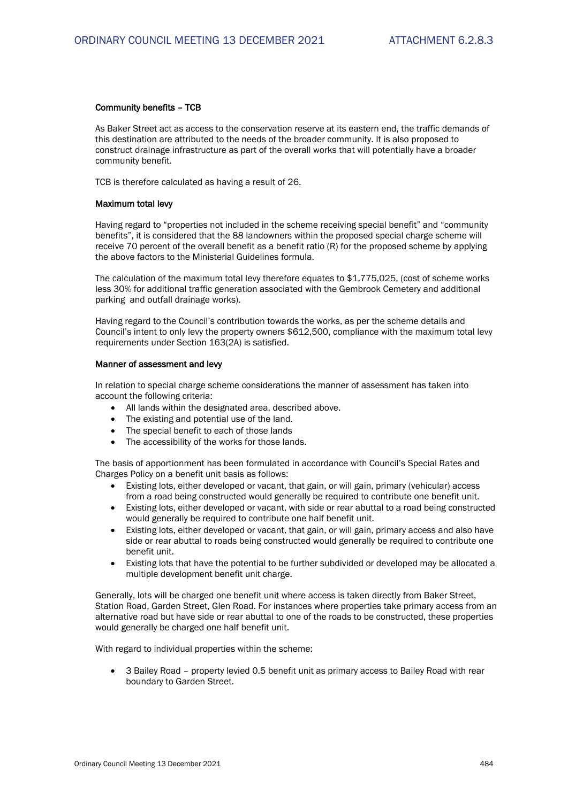#### **Community benefits – TCB**

As Baker Street act as access to the conservation reserve at its eastern end, the traffic demands of this destination are attributed to the needs of the broader community. It is also proposed to construct drainage infrastructure as part of the overall works that will potentially have a broader community benefit.

TCB is therefore calculated as having a result of 26.

#### **Maximum total levy**

Having regard to "properties not included in the scheme receiving special benefit" and "community benefits", it is considered that the 88 landowners within the proposed special charge scheme will receive 70 percent of the overall benefit as a benefit ratio (R) for the proposed scheme by applying the above factors to the Ministerial Guidelines formula.

The calculation of the maximum total levy therefore equates to \$1,775,025, (cost of scheme works less 30% for additional traffic generation associated with the Gembrook Cemetery and additional parking and outfall drainage works).

Having regard to the Council's contribution towards the works, as per the scheme details and Council's intent to only levy the property owners \$612,500, compliance with the maximum total levy requirements under Section 163(2A) is satisfied.

#### **Manner of assessment and levy**

In relation to special charge scheme considerations the manner of assessment has taken into account the following criteria:

- All lands within the designated area, described above.
- The existing and potential use of the land.
- The special benefit to each of those lands
- The accessibility of the works for those lands.

The basis of apportionment has been formulated in accordance with Council's Special Rates and Charges Policy on a benefit unit basis as follows:

- Existing lots, either developed or vacant, that gain, or will gain, primary (vehicular) access from a road being constructed would generally be required to contribute one benefit unit.
- Existing lots, either developed or vacant, with side or rear abuttal to a road being constructed would generally be required to contribute one half benefit unit.
- Existing lots, either developed or vacant, that gain, or will gain, primary access and also have side or rear abuttal to roads being constructed would generally be required to contribute one benefit unit.
- Existing lots that have the potential to be further subdivided or developed may be allocated a multiple development benefit unit charge.

Generally, lots will be charged one benefit unit where access is taken directly from Baker Street, Station Road, Garden Street, Glen Road. For instances where properties take primary access from an alternative road but have side or rear abuttal to one of the roads to be constructed, these properties would generally be charged one half benefit unit.

With regard to individual properties within the scheme:

 3 Bailey Road – property levied 0.5 benefit unit as primary access to Bailey Road with rear boundary to Garden Street.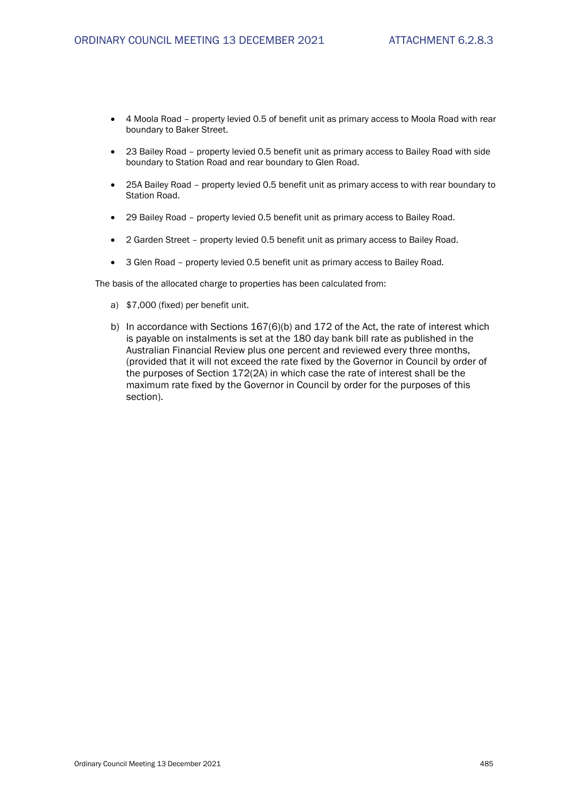- 4 Moola Road property levied 0.5 of benefit unit as primary access to Moola Road with rear boundary to Baker Street.
- 23 Bailey Road property levied 0.5 benefit unit as primary access to Bailey Road with side boundary to Station Road and rear boundary to Glen Road.
- 25A Bailey Road property levied 0.5 benefit unit as primary access to with rear boundary to Station Road.
- 29 Bailey Road property levied 0.5 benefit unit as primary access to Bailey Road.
- 2 Garden Street property levied 0.5 benefit unit as primary access to Bailey Road.
- 3 Glen Road property levied 0.5 benefit unit as primary access to Bailey Road.

The basis of the allocated charge to properties has been calculated from:

- a) \$7,000 (fixed) per benefit unit.
- b) In accordance with Sections 167(6)(b) and 172 of the Act, the rate of interest which is payable on instalments is set at the 180 day bank bill rate as published in the Australian Financial Review plus one percent and reviewed every three months, (provided that it will not exceed the rate fixed by the Governor in Council by order of the purposes of Section 172(2A) in which case the rate of interest shall be the maximum rate fixed by the Governor in Council by order for the purposes of this section).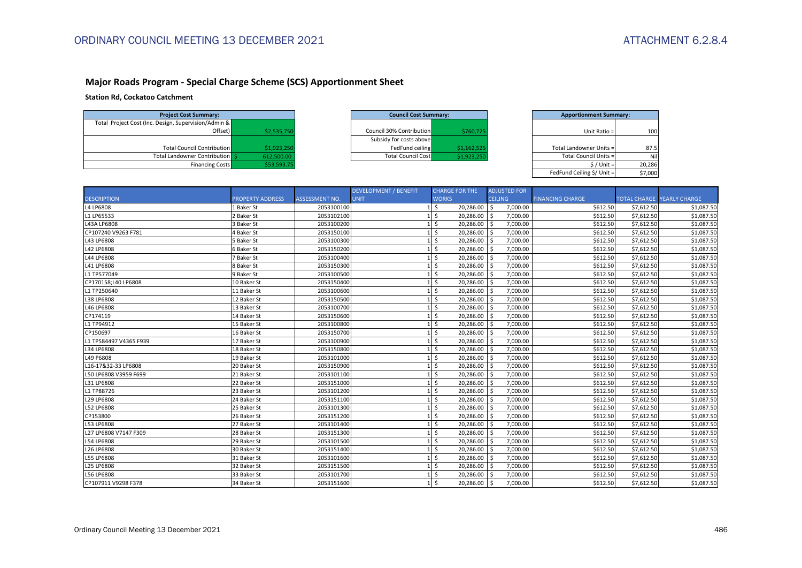### **Major Roads Program - Special Charge Scheme (SCS) Apportionment Sheet**

**Station Rd, Cockatoo Catchment**

| <b>Project Cost Summary:</b>                         |             |
|------------------------------------------------------|-------------|
| Total Project Cost (Inc. Design, Supervision/Admin & |             |
| Offset)                                              | \$2,535,750 |
|                                                      |             |
| <b>Total Council Contribution</b>                    | \$1,923,250 |
| Total Landowner Contribution                         | 612.500.00  |
| <b>Financing Costs</b>                               | \$53,593.75 |

| <b>Project Cost Summary:</b>      |             |  | <b>Council Cost Summary:</b> |             |                         |      | <b>Apportionment Summary:</b> |  |
|-----------------------------------|-------------|--|------------------------------|-------------|-------------------------|------|-------------------------------|--|
| Design, Supervision/Admin &       |             |  |                              |             |                         |      |                               |  |
| Offset)                           | \$2,535,750 |  | Council 30% Contribution     | \$760,725   | Unit Ratio =            | 100  |                               |  |
|                                   |             |  | Subsidy for costs above      |             |                         |      |                               |  |
| <b>Total Council Contribution</b> | \$1,923,250 |  | FedFund ceiling              | \$1,162,525 | Total Landowner Units = | 87.5 |                               |  |
| Total Landowner Contribution S    | 612.500.00  |  | <b>Total Council Cost</b>    | \$1,923,250 | Total Council Units =   | Nil  |                               |  |
|                                   |             |  |                              |             |                         |      |                               |  |

| Summary:                     |             | <b>Council Cost Summary:</b> |             | <b>Apportionment Summary:</b> |         |
|------------------------------|-------------|------------------------------|-------------|-------------------------------|---------|
| vision/Admin &               |             |                              |             |                               |         |
| Offset)                      | \$2,535,750 | Council 30% Contribution     | \$760,725   | Unit Ratio =                  | 100     |
|                              |             | Subsidy for costs above      |             |                               |         |
| cil Contribution             | \$1,923,250 | FedFund ceiling              | \$1,162,525 | Total Landowner Units =       | 87.5    |
| er Contribution <sup>1</sup> | 612,500.00  | Total Council Cost           | \$1,923,250 | Total Council Units =         | Nil     |
| <b>Financing Costs</b>       | \$53,593.75 |                              |             | $S /$ Unit =                  | 20.286  |
|                              |             |                              |             | FedFund Ceiling \$/ Unit =    | \$7,000 |

|                        |                         |                      | <b>DEVELOPMENT / BENEFIT</b> | <b>CHARGE FOR THE</b>        | <b>ADJUSTED FOR</b> |                         |            |                                   |
|------------------------|-------------------------|----------------------|------------------------------|------------------------------|---------------------|-------------------------|------------|-----------------------------------|
| <b>DESCRIPTION</b>     | <b>PROPERTY ADDRESS</b> | <b>ASSESSMENT NO</b> | UNIT.                        | <b>WORKS</b>                 | <b>CEILING</b>      | <b>FINANCING CHARGE</b> |            | <b>TOTAL CHARGE YEARLY CHARGE</b> |
| L4 LP6808              | Baker St                | 2053100100           |                              | Ŝ.<br>20,286.00              | Ŝ.<br>7,000.00      | \$612.50                | \$7,612.50 | \$1,087.50                        |
| L1 LP65533             | 2 Baker St              | 2053102100           |                              | l \$<br>20,286.00            | 7,000.00            | \$612.50                | \$7,612.50 | \$1,087.50                        |
| L43A LP6808            | 3 Baker St              | 2053100200           |                              | -Ś<br>20,286.00              | 7,000.00            | \$612.50                | \$7,612.50 | \$1,087.50                        |
| CP107240 V9263 F781    | 4 Baker St              | 2053150100           |                              | Ŝ.<br>20,286.00              | 7,000.00            | \$612.50                | \$7,612.50 | \$1,087.50                        |
| L43 LP6808             | 5 Baker St              | 2053100300           |                              | Ŝ.<br>20,286.00              | 7,000.00<br>Ŝ       | \$612.50                | \$7,612.50 | \$1,087.50                        |
| L42 LP6808             | 6 Baker St              | 2053150200           |                              | Ŝ.<br>20,286.00              | 7,000.00<br>Ŝ       | \$612.50                | \$7,612.50 | \$1,087.50                        |
| L44 LP6808             | 7 Baker St              | 2053100400           |                              | -\$<br>20,286.00             | 7,000.00<br>Ŝ       | \$612.50                | \$7,612.50 | \$1,087.50                        |
| L41 LP6808             | 8 Baker St              | 2053150300           |                              | l \$<br>20,286.00            | 7,000.00<br>Ŝ       | \$612.50                | \$7,612.50 | \$1,087.50                        |
| L1 TP577049            | 9 Baker St              | 2053100500           |                              | l \$<br>20,286.00            | 7,000.00<br>Ŝ       | \$612.50                | \$7,612.50 | \$1,087.50                        |
| CP170158;L40 LP6808    | 10 Baker St             | 2053150400           |                              | Ŝ.<br>20,286.00              | Ś<br>7,000.00       | \$612.50                | \$7,612.50 | \$1,087.50                        |
| L1 TP250640            | 11 Baker St             | 2053100600           |                              | Ŝ.<br>20,286.00              | Ś<br>7,000.00       | \$612.50                | \$7,612.50 | \$1,087.50                        |
| L38 LP6808             | 12 Baker St             | 2053150500           |                              | Ŝ.<br>20,286.00              | 7,000.00            | \$612.50                | \$7,612.50 | \$1,087.50                        |
| L46 LP6808             | 13 Baker St             | 2053100700           |                              | -Ś<br>20,286.00              | 7,000.00            | \$612.50                | \$7,612.50 | \$1,087.50                        |
| CP174119               | 14 Baker St             | 2053150600           |                              | -Ś<br>20,286.00              | 7,000.00            | \$612.50                | \$7,612.50 | \$1,087.50                        |
| L1 TP94912             | 15 Baker St             | 2053100800           |                              | Ŝ.<br>20,286.00              | 7,000.00            | \$612.50                | \$7,612.50 | \$1,087.50                        |
| CP150697               | 16 Baker St             | 2053150700           |                              | Ŝ.<br>20,286.00              | 7,000.00            | \$612.50                | \$7,612.50 | \$1,087.50                        |
| L1 TP584497 V4365 F939 | 17 Baker St             | 2053100900           |                              | Ŝ.<br>20,286.00              | Ś<br>7,000.00       | \$612.50                | \$7,612.50 | \$1,087.50                        |
| L34 LP6808             | 18 Baker St             | 2053150800           |                              | Ŝ.<br>20,286.00              | 7,000.00<br>Ŝ       | \$612.50                | \$7,612.50 | \$1,087.50                        |
| L49 P6808              | 19 Baker St             | 2053101000           |                              | $1 \mid \zeta$<br>20,286.00  | 7,000.00<br>Ŝ       | \$612.50                | \$7,612.50 | \$1,087.50                        |
| L16-17&32-33 LP6808    | 20 Baker St             | 2053150900           |                              | $1\overline{s}$<br>20,286.00 | 7,000.00<br>Ś       | \$612.50                | \$7,612.50 | \$1,087.50                        |
| L50 LP6808 V3959 F699  | 21 Baker St             | 2053101100           |                              | -Ś<br>20,286.00              | Ś<br>7,000.00       | \$612.50                | \$7,612.50 | \$1,087.50                        |
| L31 LP6808             | 22 Baker St             | 2053151000           |                              | -\$<br>20,286.00             | Ś<br>7,000.00       | \$612.50                | \$7,612.50 | \$1,087.50                        |
| L1 TP88726             | 23 Baker St             | 2053101200           |                              | -\$<br>20,286.00             | Ś<br>7,000.00       | \$612.50                | \$7,612.50 | \$1,087.50                        |
| L29 LP6808             | 24 Baker St             | 2053151100           |                              | l \$<br>20,286.00            | ς<br>7,000.00       | \$612.50                | \$7,612.50 | \$1,087.50                        |
| L52 LP6808             | 25 Baker St             | 2053101300           |                              | l \$<br>20,286.00            | 7,000.00            | \$612.50                | \$7,612.50 | \$1,087.50                        |
| CP153800               | 26 Baker St             | 2053151200           |                              | l \$<br>20,286.00<br>1       | 7,000.00            | \$612.50                | \$7,612.50 | \$1,087.50                        |
| L53 LP6808             | 27 Baker St             | 2053101400           |                              | Ŝ.<br>20,286.00              | 7,000.00            | \$612.50                | \$7,612.50 | \$1,087.50                        |
| L27 LP6808 V7147 F309  | 28 Baker St             | 2053151300           |                              | Ŝ.<br>20,286.00              | 7,000.00            | \$612.50                | \$7,612.50 | \$1,087.50                        |
| L54 LP6808             | 29 Baker St             | 2053101500           |                              | Ŝ.<br>20,286.00              | 7,000.00<br>Ŝ       | \$612.50                | \$7,612.50 | \$1,087.50                        |
| L26 LP6808             | 30 Baker St             | 2053151400           |                              | Ŝ.<br>20,286.00              | 7,000.00<br>ς       | \$612.50                | \$7,612.50 | \$1,087.50                        |
| L55 LP6808             | 31 Baker St             | 2053101600           |                              | l \$<br>20,286.00            | 7,000.00            | \$612.50                | \$7,612.50 | \$1,087.50                        |
| L25 LP6808             | 32 Baker St             | 2053151500           |                              | 20,286.00<br>$1\vert$ \$     | 7,000.00            | \$612.50                | \$7,612.50 | \$1,087.50                        |
| L56 LP6808             | 33 Baker St             | 2053101700           |                              | - Ś<br>20,286.00             | 7,000.00            | \$612.50                | \$7,612.50 | \$1,087.50                        |
| CP107911 V9298 F378    | 34 Baker St             | 2053151600           |                              | l s<br>20,286.00             | Ŝ.<br>7,000.00      | \$612.50                | \$7,612.50 | \$1,087.50                        |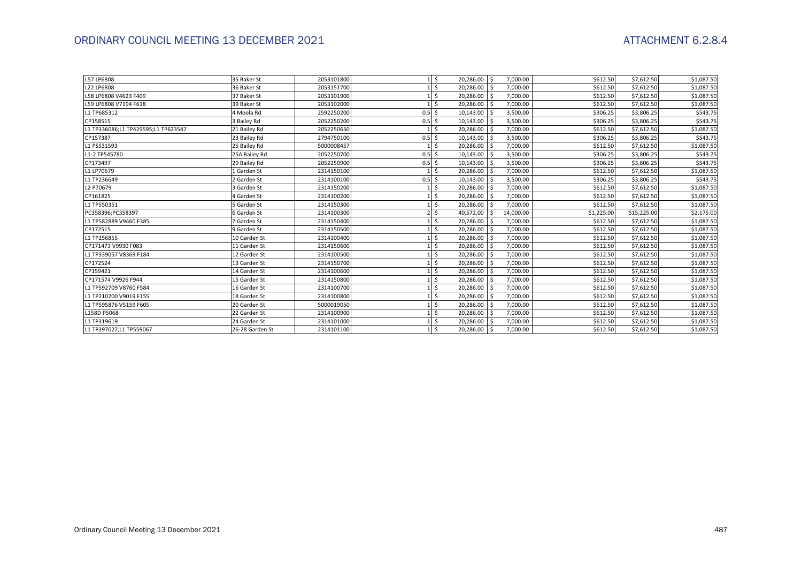### ORDINARY COUNCIL MEETING 13 DECEMBER 2021 ATTACHMENT 6.2.8.4

| L57 LP6808                          | 35 Baker St      | 2053101800 |                                 | 1\$<br>20,286.00         | Ŝ.<br>7,000.00 | \$612.50   | \$7,612.50  | \$1,087.50 |
|-------------------------------------|------------------|------------|---------------------------------|--------------------------|----------------|------------|-------------|------------|
| L22 LP6808                          | 36 Baker St      | 2053151700 |                                 | l\$<br>20,286.00         | 7,000.00       | \$612.50   | \$7,612.50  | \$1,087.50 |
| L58 LP6808 V4623 F409               | 37 Baker St      | 2053101900 |                                 | \$<br>20,286.00          | 7,000.00       | \$612.50   | \$7,612.50  | \$1,087.50 |
| L59 LP6808 V7194 F618               | 39 Baker St      | 2053102000 |                                 | \$<br>20,286.00          | 7,000.00       | \$612.50   | \$7,612.50  | \$1,087.50 |
| L1 TP685312                         | 4 Moola Rd       | 2592250200 | 0.5 <sup>5</sup>                | 10,143.00                | 3,500.00<br>Ŝ  | \$306.25   | \$3,806.25  | \$543.75   |
| CP158515                            | <b>Bailey Rd</b> | 2052250200 | 0.5                             | 10,143.00<br>Ŝ.          | 3,500.00       | \$306.25   | \$3,806.25  | \$543.75   |
| L1 TP336086;L1 TP429595;L1 TP623547 | 21 Bailey Rd     | 2052250650 |                                 | 20,286.00<br>15          | 7,000.00       | \$612.50   | \$7,612.50  | \$1,087.50 |
| CP157387                            | 23 Bailey Rd     | 2794750100 | 0.5                             | 10,143.00<br>Ŝ.          | 3,500.00       | \$306.25   | \$3,806.25  | \$543.75   |
| L1 PS531593                         | 25 Bailey Rd     | 5000008457 |                                 | Ŝ.<br>20,286.00          | 7,000.00       | \$612.50   | \$7,612.50  | \$1,087.50 |
| L1-2 TP545780                       | 25A Bailey Rd    | 2052250700 | 0.5                             | Ŝ.<br>10,143.00          | 3,500.00<br>ς  | \$306.25   | \$3,806.25  | \$543.75   |
| CP173497                            | 29 Bailey Rd     | 2052250900 | $0.5\overline{\smash{\big)}\,}$ | 10,143.00                | 3,500.00       | \$306.25   | \$3,806.25  | \$543.75   |
| L1 LP70679                          | 1 Garden St      | 2314150100 |                                 | 20,286.00<br>l \$        | 7,000.00       | \$612.50   | \$7,612.50  | \$1,087.50 |
| L1 TP236649                         | 2 Garden St      | 2314100100 | 0.5                             | 10,143.00<br>.s          | 3,500.00       | \$306.25   | \$3,806.25  | \$543.75   |
| L2 P70679                           | 3 Garden St      | 2314150200 |                                 | 20,286.00<br>\$          | 7,000.00       | \$612.50   | \$7,612.50  | \$1,087.50 |
| CP161825                            | 4 Garden St      | 2314100200 |                                 | \$<br>20,286.00          | 7,000.00       | \$612.50   | \$7,612.50  | \$1,087.50 |
| L1 TP550351                         | 5 Garden St      | 2314150300 |                                 | ۱s.<br>20,286.00         | 7,000.00       | \$612.50   | \$7,612.50  | \$1,087.50 |
| PC358396;PC358397                   | 6 Garden St      | 2314100300 | 2 <sub>5</sub>                  | 40,572.00                | 14,000.00      | \$1,225.00 | \$15,225.00 | \$2,175.00 |
| L1 TP582889 V9460 F385              | Garden St        | 2314150400 |                                 | $1\vert$ \$<br>20,286.00 | 7,000.00       | \$612.50   | \$7,612.50  | \$1,087.50 |
| CP172515                            | 9 Garden St      | 2314150500 |                                 | $1\vert$ \$<br>20,286.00 | 7,000.00       | \$612.50   | \$7,612.50  | \$1,087.50 |
| L1 TP256855                         | 10 Garden St     | 2314100400 |                                 | -\$<br>20,286.00         | 7,000.00       | \$612.50   | \$7,612.50  | \$1,087.50 |
| CP171473 V9930 F083                 | 11 Garden St     | 2314150600 |                                 | \$<br>20,286.00          | 7,000.00       | \$612.50   | \$7,612.50  | \$1,087.50 |
| L1 TP339057 V8369 F184              | 12 Garden St     | 2314100500 |                                 | $1\vert$ \$<br>20,286.00 | 7,000.00<br>Ŝ  | \$612.50   | \$7,612.50  | \$1,087.50 |
| CP172524                            | 13 Garden St     | 2314150700 |                                 | 1 S<br>20,286.00         | 7,000.00       | \$612.50   | \$7,612.50  | \$1,087.50 |
| CP159421                            | 14 Garden St     | 2314100600 |                                 | 15<br>20,286.00          | 7,000.00       | \$612.50   | \$7,612.50  | \$1,087.50 |
| CP171574 V9926 F944                 | 15 Garden St     | 2314150800 |                                 | $1\vert$ \$<br>20,286.00 | 7,000.00       | \$612.50   | \$7,612.50  | \$1,087.50 |
| L1 TP592709 V8760 F584              | 16 Garden St     | 2314100700 |                                 | 20,286.00<br>\$          | 7,000.00       | \$612.50   | \$7,612.50  | \$1,087.50 |
| L1 TP210200 V9019 F155              | 18 Garden St     | 2314100800 |                                 | \$<br>20,286.00          | 7,000.00       | \$612.50   | \$7,612.50  | \$1,087.50 |
| L1 TP595876 V5159 F605              | 20 Garden St     | 5000019050 |                                 | $1\vert$ \$<br>20,286.00 | 7,000.00       | \$612.50   | \$7,612.50  | \$1,087.50 |
| L158D P5068                         | 22 Garden St     | 2314100900 |                                 | 1\$<br>20,286.00         | 7,000.00       | \$612.50   | \$7,612.50  | \$1,087.50 |
| L1 TP319619                         | 24 Garden St     | 2314101000 |                                 | ۱ś<br>20,286.00          | 7,000.00       | \$612.50   | \$7,612.50  | \$1,087.50 |
| L1 TP397027;L1 TP559067             | 26-28 Garden St  | 2314101100 |                                 | $1\vert$ \$<br>20,286.00 | 7,000.00       | \$612.50   | \$7,612.50  | \$1,087.50 |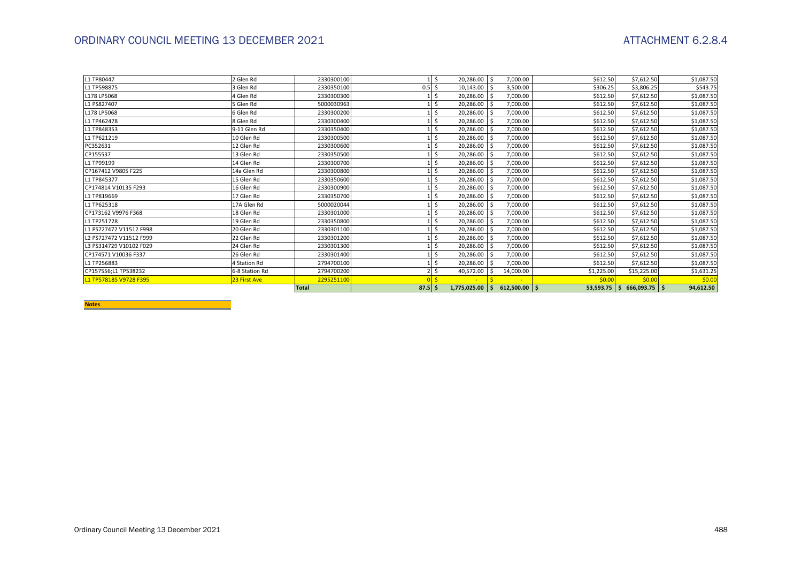### ORDINARY COUNCIL MEETING 13 DECEMBER 2021 ATTACHMENT 6.2.8.4

| L1 TP80447              | 2 Glen Rd      | 2330300100   |           | 1\$                        | 20,286.00           | 7,000.00<br>Ŝ. | \$612.50   | \$7,612.50                   | \$1,087.50 |
|-------------------------|----------------|--------------|-----------|----------------------------|---------------------|----------------|------------|------------------------------|------------|
| L1 TP598875             | 3 Glen Rd      | 2330350100   | 0.5       |                            | 10,143.00           | 3,500.00       | \$306.25   | \$3,806.25                   | \$543.75   |
| L178 LP5068             | 4 Glen Rd      | 2330300300   |           | $1\vert$ \$                | 20,286.00           | 7,000.00       | \$612.50   | \$7,612.50                   | \$1,087.50 |
| L1 PS827407             | 5 Glen Rd      | 5000030963   |           | $1 \overline{\phantom{0}}$ | 20,286.00           | 7,000.00       | \$612.50   | \$7,612.50                   | \$1,087.50 |
| L178 LP5068             | 6 Glen Rd      | 2330300200   |           | 1\$                        | 20,286.00           | 7,000.00       | \$612.50   | \$7,612.50                   | \$1,087.50 |
| L1 TP462478             | 8 Glen Rd      | 2330300400   |           | 15                         | 20,286.00           | 7,000.00       | \$612.50   | \$7,612.50                   | \$1,087.50 |
| L1 TP848353             | 9-11 Glen Rd   | 2330350400   |           | $1\vert$ \$                | 20,286.00           | 7,000.00       | \$612.50   | \$7,612.50                   | \$1,087.50 |
| L1 TP621219             | 10 Glen Rd     | 2330300500   |           | $1\overline{\phantom{0}}$  | 20,286.00           | 7,000.00       | \$612.50   | \$7,612.50                   | \$1,087.50 |
| PC352631                | 12 Glen Rd     | 2330300600   |           | 15                         | 20,286.00           | 7,000.00       | \$612.50   | \$7,612.50                   | \$1,087.50 |
| CP155537                | 13 Glen Rd     | 2330350500   |           | 15                         | 20,286.00           | 7,000.00       | \$612.50   | \$7,612.50                   | \$1,087.50 |
| L1 TP99199              | 14 Glen Rd     | 2330300700   |           | $1\vert$ \$                | 20,286.00           | 7,000.00       | \$612.50   | \$7,612.50                   | \$1,087.50 |
| CP167412 V9805 F225     | 14a Glen Rd    | 2330300800   |           | $1\overline{\phantom{0}}$  | 20,286.00           | 7,000.00       | \$612.50   | \$7,612.50                   | \$1,087.50 |
| L1 TP845377             | 15 Glen Rd     | 2330350600   |           | 15                         | 20,286.00           | 7,000.00       | \$612.50   | \$7,612.50                   | \$1,087.50 |
| CP174814 V10135 F293    | 16 Glen Rd     | 2330300900   |           | 15                         | 20,286.00           | 7,000.00       | \$612.50   | \$7,612.50                   | \$1,087.50 |
| L1 TP819669             | 17 Glen Rd     | 2330350700   |           | 15                         | 20,286.00           | 7,000.00       | \$612.50   | \$7,612.50                   | \$1,087.50 |
| L1 TP625318             | 17A Glen Rd    | 5000020044   |           | $1\vert$ \$                | 20,286.00           | 7,000.00       | \$612.50   | \$7,612.50                   | \$1,087.50 |
| CP173162 V9976 F368     | 18 Glen Rd     | 2330301000   |           | 1\$                        | 20,286.00           | 7,000.00       | \$612.50   | \$7,612.50                   | \$1,087.50 |
| L1 TP251728             | 19 Glen Rd     | 2330350800   |           | 15                         | 20,286.00           | 7,000.00       | \$612.50   | \$7,612.50                   | \$1,087.50 |
| L1 PS727472 V11512 F998 | 20 Glen Rd     | 2330301100   |           | l \$                       | 20,286.00           | 7,000.00       | \$612.50   | \$7,612.50                   | \$1,087.50 |
| L2 PS727472 V11512 F999 | 22 Glen Rd     | 2330301200   |           | $1\vert$ \$                | 20,286.00           | 7,000.00       | \$612.50   | \$7,612.50                   | \$1,087.50 |
| L3 PS314729 V10102 F029 | 24 Glen Rd     | 2330301300   |           | $1\vert$ \$                | 20,286.00           | 7,000.00       | \$612.50   | \$7,612.50                   | \$1,087.50 |
| CP174571 V10036 F337    | 26 Glen Rd     | 2330301400   |           | $1 \,$ \$                  | 20,286.00           | 7,000.00       | \$612.50   | \$7,612.50                   | \$1,087.50 |
| L1 TP256883             | 4 Station Rd   | 2794700100   |           | $1\vert$ \$                | 20,286.00           | 7,000.00       | \$612.50   | \$7,612.50                   | \$1,087.50 |
| CP157556;L1 TP538232    | 6-8 Station Rd | 2794700200   |           | $2 \,$ s                   | 40,572.00           | 14,000.00      | \$1,225.00 | \$15,225.00                  | \$1,631.25 |
| L1 TP578185 V9728 F395  | 23 First Ave   | 2295251100   |           |                            |                     |                | \$0.00     | \$0.00                       | \$0.00     |
|                         |                | <b>Total</b> | $87.5$ \$ |                            | $1,775,025.00$   \$ | $612.500.00$ S |            | $53,593.75$ \$ 666,093.75 \$ | 94,612.50  |

**Notes**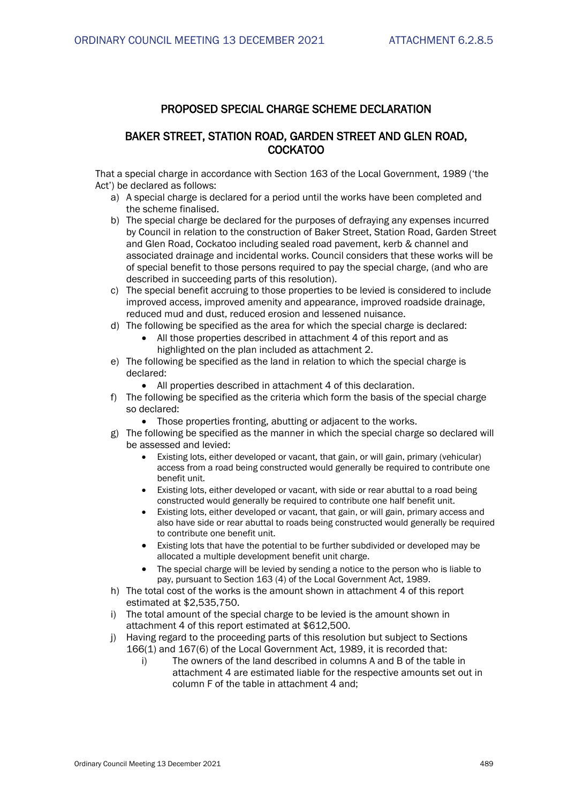## **PROPOSED SPECIAL CHARGE SCHEME DECLARATION**

### **BAKER STREET, STATION ROAD, GARDEN STREET AND GLEN ROAD, COCKATOO**

That a special charge in accordance with Section 163 of the Local Government, 1989 ('the Act') be declared as follows:

- a) A special charge is declared for a period until the works have been completed and the scheme finalised.
- b) The special charge be declared for the purposes of defraying any expenses incurred by Council in relation to the construction of Baker Street, Station Road, Garden Street and Glen Road, Cockatoo including sealed road pavement, kerb & channel and associated drainage and incidental works. Council considers that these works will be of special benefit to those persons required to pay the special charge, (and who are described in succeeding parts of this resolution).
- c) The special benefit accruing to those properties to be levied is considered to include improved access, improved amenity and appearance, improved roadside drainage, reduced mud and dust, reduced erosion and lessened nuisance.
- d) The following be specified as the area for which the special charge is declared:
	- All those properties described in attachment 4 of this report and as highlighted on the plan included as attachment 2.
- e) The following be specified as the land in relation to which the special charge is declared:
	- All properties described in attachment 4 of this declaration.
- f) The following be specified as the criteria which form the basis of the special charge so declared:
	- Those properties fronting, abutting or adjacent to the works.
- g) The following be specified as the manner in which the special charge so declared will be assessed and levied:
	- Existing lots, either developed or vacant, that gain, or will gain, primary (vehicular) access from a road being constructed would generally be required to contribute one benefit unit.
	- Existing lots, either developed or vacant, with side or rear abuttal to a road being constructed would generally be required to contribute one half benefit unit.
	- Existing lots, either developed or vacant, that gain, or will gain, primary access and also have side or rear abuttal to roads being constructed would generally be required to contribute one benefit unit.
	- Existing lots that have the potential to be further subdivided or developed may be allocated a multiple development benefit unit charge.
	- The special charge will be levied by sending a notice to the person who is liable to pay, pursuant to Section 163 (4) of the Local Government Act, 1989.
- h) The total cost of the works is the amount shown in attachment 4 of this report estimated at \$2,535,750.
- i) The total amount of the special charge to be levied is the amount shown in attachment 4 of this report estimated at \$612,500.
- j) Having regard to the proceeding parts of this resolution but subject to Sections 166(1) and 167(6) of the Local Government Act, 1989, it is recorded that:
	- i) The owners of the land described in columns A and B of the table in attachment 4 are estimated liable for the respective amounts set out in column F of the table in attachment 4 and;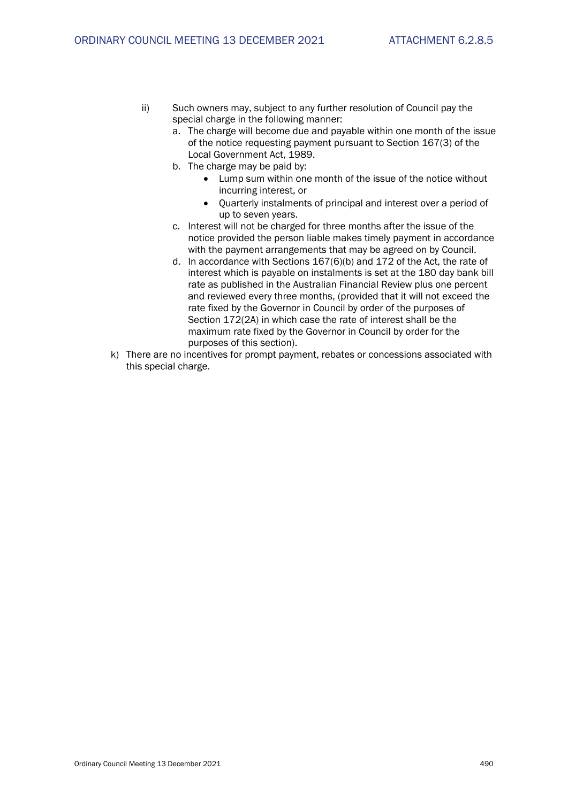- ii) Such owners may, subject to any further resolution of Council pay the special charge in the following manner:
	- a. The charge will become due and payable within one month of the issue of the notice requesting payment pursuant to Section 167(3) of the Local Government Act, 1989.
	- b. The charge may be paid by:
		- Lump sum within one month of the issue of the notice without incurring interest, or
		- Quarterly instalments of principal and interest over a period of up to seven years.
	- c. Interest will not be charged for three months after the issue of the notice provided the person liable makes timely payment in accordance with the payment arrangements that may be agreed on by Council.
	- d. In accordance with Sections 167(6)(b) and 172 of the Act, the rate of interest which is payable on instalments is set at the 180 day bank bill rate as published in the Australian Financial Review plus one percent and reviewed every three months, (provided that it will not exceed the rate fixed by the Governor in Council by order of the purposes of Section 172(2A) in which case the rate of interest shall be the maximum rate fixed by the Governor in Council by order for the purposes of this section).
- k) There are no incentives for prompt payment, rebates or concessions associated with this special charge.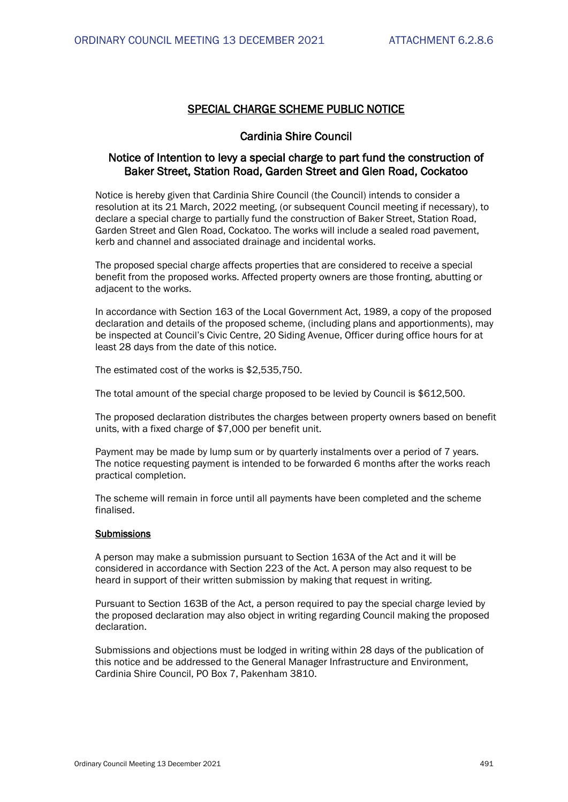### **SPECIAL CHARGE SCHEME PUBLIC NOTICE**

### **Cardinia Shire Council**

### **Notice of Intention to levy a special charge to part fund the construction of Baker Street, Station Road, Garden Street and Glen Road, Cockatoo**

Notice is hereby given that Cardinia Shire Council (the Council) intends to consider a resolution at its 21 March, 2022 meeting, (or subsequent Council meeting if necessary), to declare a special charge to partially fund the construction of Baker Street, Station Road, Garden Street and Glen Road, Cockatoo. The works will include a sealed road pavement, kerb and channel and associated drainage and incidental works.

The proposed special charge affects properties that are considered to receive a special benefit from the proposed works. Affected property owners are those fronting, abutting or adjacent to the works.

In accordance with Section 163 of the Local Government Act, 1989, a copy of the proposed declaration and details of the proposed scheme, (including plans and apportionments), may be inspected at Council's Civic Centre, 20 Siding Avenue, Officer during office hours for at least 28 days from the date of this notice.

The estimated cost of the works is \$2,535,750.

The total amount of the special charge proposed to be levied by Council is \$612,500.

The proposed declaration distributes the charges between property owners based on benefit units, with a fixed charge of \$7,000 per benefit unit.

Payment may be made by lump sum or by quarterly instalments over a period of 7 years. The notice requesting payment is intended to be forwarded 6 months after the works reach practical completion.

The scheme will remain in force until all payments have been completed and the scheme finalised.

### **Submissions**

A person may make a submission pursuant to Section 163A of the Act and it will be considered in accordance with Section 223 of the Act. A person may also request to be heard in support of their written submission by making that request in writing.

Pursuant to Section 163B of the Act, a person required to pay the special charge levied by the proposed declaration may also object in writing regarding Council making the proposed declaration.

Submissions and objections must be lodged in writing within 28 days of the publication of this notice and be addressed to the General Manager Infrastructure and Environment, Cardinia Shire Council, PO Box 7, Pakenham 3810.